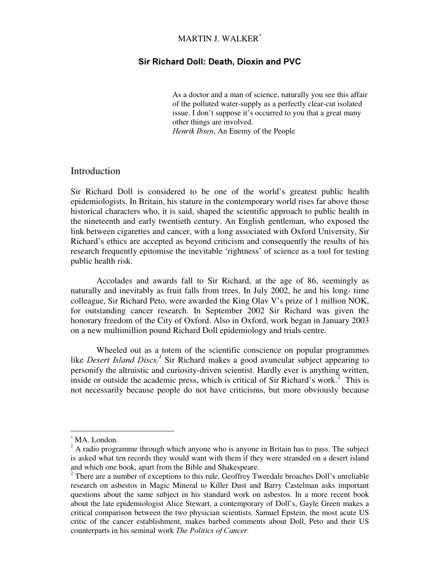# MARTIN J. WALKER \*

### Sir Richard Doll: Death, Dioxin and PVC

As a doctor and a man of science, naturally you see this affair of the polluted water-supply as a perfectly clear-cut isolated issue. I don't suppose it's occurred to you that a great many other things are involved. Henrik Ibsen, An Enemy of the People

## Introduction

Sir Richard Doll is considered to be one of the world's greatest public health epidemiologists. In Britain, his stature in the contemporary world rises far above those historical characters who, it is said, shaped the scientific approach to public health in the nineteenth and early twentieth century. An English gentleman, who exposed the link between cigarettes and cancer, with a long associated with Oxford University, Sir Richard's ethics are accepted as beyond criticism and consequently the results of his research frequently epitomise the inevitable 'rightness' of science as a tool for testing public health risk.

Accolades and awards fall to Sir Richard, at the age of 86, seemingly as naturally and inevitably as fruit falls from trees. In July 2002, he and his long- time colleague, Sir Richard Peto, were awarded the King Olav V's prize of 1 million NOK, for outstanding cancer research. In September 2002 Sir Richard was given the honorary freedom of the City of Oxford. Also in Oxford, work began in January 2003 on a new multimillion pound Richard Doll epidemiology and trials centre.

Wheeled out as a totem of the scientific conscience on popular programmes like *Desert Island Discs*,<sup>1</sup> Sir Richard makes a good avuncular subject appearing to personify the altruistic and curiosity-driven scientist. Hardly ever is anything written, inside or outside the academic press, which is critical of Sir Richard's work.<sup>2</sup> This is not necessarily because people do not have criticisms, but more obviously because

<sup>\*</sup> MA. London.

 $<sup>1</sup>$  A radio programme through which anyone who is anyone in Britain has to pass. The subject</sup> is asked what ten records they would want with them if they were stranded on a desert island and which one book, apart from the Bible and Shakespeare.

<sup>&</sup>lt;sup>2</sup> There are a number of exceptions to this rule, Geoffrey Tweedale broaches Doll's unreliable research on asbestos in Magic Mineral to Killer Dust and Barry Castelman asks important questions about the same subject in his standard work on asbestos. In a more recent book about the late epidemiologist Alice Stewart, a contemporary of Doll's, Gayle Green makes a critical comparison between the two physician scientists. Samuel Epstein, the most acute US critic of the cancer establishment, makes barbed comments about Doll, Peto and their US counterparts in his seminal work The Politics of Cancer.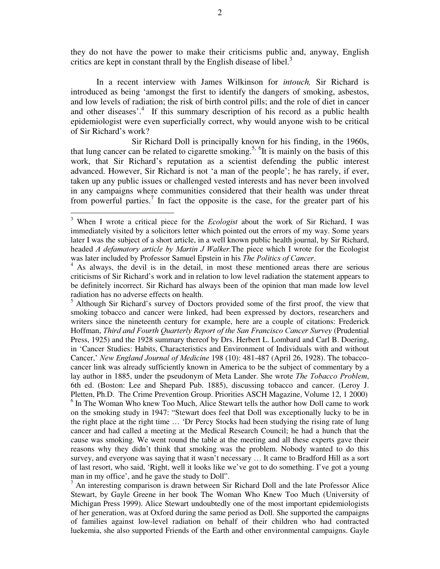they do not have the power to make their criticisms public and, anyway, English critics are kept in constant thrall by the English disease of libel.<sup>3</sup>

In a recent interview with James Wilkinson for *intouch*, Sir Richard is introduced as being 'amongst the first to identify the dangers of smoking, asbestos, and low levels of radiation; the risk of birth control pills; and the role of diet in cancer and other diseases'.<sup>4</sup> If this summary description of his record as a public health epidemiologist were even superficially correct, why would anyone wish to be critical of Sir Richard's work?

Sir Richard Doll is principally known for his finding, in the 1960s, that lung cancer can be related to cigarette smoking.<sup>5, 6</sup>It is mainly on the basis of this work, that Sir Richard's reputation as a scientist defending the public interest advanced. However, Sir Richard is not 'a man of the people'; he has rarely, if ever, taken up any public issues or challenged vested interests and has never been involved in any campaigns where communities considered that their health was under threat from powerful parties.<sup>7</sup> In fact the opposite is the case, for the greater part of his

<sup>5</sup> Although Sir Richard's survey of Doctors provided some of the first proof, the view that smoking tobacco and cancer were linked, had been expressed by doctors, researchers and writers since the nineteenth century for example, here are a couple of citations: Frederick Hoffman, Third and Fourth Quarterly Report of the San Francisco Cancer Survey (Prudential Press, 1925) and the 1928 summary thereof by Drs. Herbert L. Lombard and Carl B. Doering, in 'Cancer Studies: Habits, Characteristics and Environment of Individuals with and without Cancer,' New England Journal of Medicine 198 (10): 481-487 (April 26, 1928). The tobaccocancer link was already sufficiently known in America to be the subject of commentary by a lay author in 1885, under the pseudonym of Meta Lander. She wrote *The Tobacco Problem*, 6th ed. (Boston: Lee and Shepard Pub. 1885), discussing tobacco and cancer. (Leroy J. Pletten, Ph.D. The Crime Prevention Group. Priorities ASCH Magazine, Volume 12, 1 2000) <sup>6</sup> In The Woman Who knew Too Much, Alice Stewart tells the author how Doll came to work on the smoking study in 1947: "Stewart does feel that Doll was exceptionally lucky to be in the right place at the right time … 'Dr Percy Stocks had been studying the rising rate of lung cancer and had called a meeting at the Medical Research Council; he had a hunch that the cause was smoking. We went round the table at the meeting and all these experts gave their reasons why they didn't think that smoking was the problem. Nobody wanted to do this survey, and everyone was saying that it wasn't necessary ... It came to Bradford Hill as a sort of last resort, who said, 'Right, well it looks like we' ve got to do something. I' ve got a young man in my office', and he gave the study to Doll''.

 $<sup>7</sup>$  An interesting comparison is drawn between Sir Richard Doll and the late Professor Alice</sup> Stewart, by Gayle Greene in her book The Woman Who Knew Too Much (University of Michigan Press 1999). Alice Stewart undoubtedly one of the most important epidemiologists of her generation, was at Oxford during the same period as Doll. She supported the campaigns of families against low-level radiation on behalf of their children who had contracted luekemia, she also supported Friends of the Earth and other environmental campaigns. Gayle

 $3$  When I wrote a critical piece for the *Ecologist* about the work of Sir Richard, I was immediately visited by a solicitors letter which pointed out the errors of my way. Some years later I was the subject of a short article, in a well known public health journal, by Sir Richard, headed  $A$  defamatory article by Martin J Walker. The piece which I wrote for the Ecologist was later included by Professor Samuel Epstein in his The Politics of Cancer.

 $4$  As always, the devil is in the detail, in most these mentioned areas there are serious criticisms of Sir Richard's work and in relation to low level radiation the statement appears to be definitely incorrect. Sir Richard has always been of the opinion that man made low level radiation has no adverse effects on health.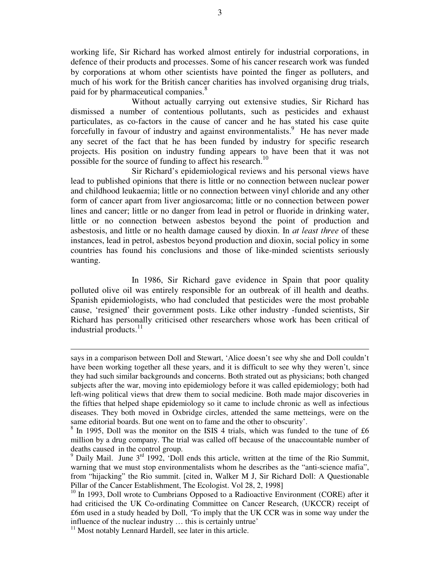working life, Sir Richard has worked almost entirely for industrial corporations, in defence of their products and processes. Some of his cancer research work was funded by corporations at whom other scientists have pointed the finger as polluters, and much of his work for the British cancer charities has involved organising drug trials, paid for by pharmaceutical companies.<sup>8</sup>

Without actually carrying out extensive studies, Sir Richard has dismissed a number of contentious pollutants, such as pesticides and exhaust particulates, as co-factors in the cause of cancer and he has stated his case quite forcefully in favour of industry and against environmentalists.<sup>9</sup> He has never made any secret of the fact that he has been funded by industry for specific research projects. His position on industry funding appears to have been that it was not possible for the source of funding to affect his research.<sup>10</sup>

Sir Richard's epidemiological reviews and his personal views have lead to published opinions that there is little or no connection between nuclear power and childhood leukaemia; little or no connection between vinyl chloride and any other form of cancer apart from liver angiosarcoma; little or no connection between power lines and cancer; little or no danger from lead in petrol or fluoride in drinking water, little or no connection between asbestos beyond the point of production and asbestosis, and little or no health damage caused by dioxin. In *at least three* of these instances, lead in petrol, asbestos beyond production and dioxin, social policy in some countries has found his conclusions and those of like-minded scientists seriously wanting.

In 1986, Sir Richard gave evidence in Spain that poor quality polluted olive oil was entirely responsible for an outbreak of ill health and deaths. Spanish epidemiologists, who had concluded that pesticides were the most probable cause, 'resigned' their government posts. Like other industry -funded scientists, Sir Richard has personally criticised other researchers whose work has been critical of industrial products.<sup>11</sup>

says in a comparison between Doll and Stewart, 'Alice doesn't see why she and Doll couldn't have been working together all these years, and it is difficult to see why they weren't, since they had such similar backgrounds and concerns. Both strated out as physicians; both changed subjects after the war, moving into epidemiology before it was called epidemiology; both had left-wing political views that drew them to social medicine. Both made major discoveries in the fifties that helped shape epidemiology so it came to include chronic as well as infectious diseases. They both moved in Oxbridge circles, attended the same metteings, were on the same editorial boards. But one went on to fame and the other to obscurity' .

<sup>&</sup>lt;sup>8</sup> In 1995, Doll was the monitor on the ISIS 4 trials, which was funded to the tune of £6 million by a drug company. The trial was called off because of the unaccountable number of deaths caused in the control group.

 $9$  Daily Mail. June  $3<sup>rd</sup>$  1992, 'Doll ends this article, written at the time of the Rio Summit, warning that we must stop environmentalists whom he describes as the "anti-science mafia", from "hijacking" the Rio summit. [cited in, Walker M J, Sir Richard Doll: A Questionable Pillar of the Cancer Establishment, The Ecologist. Vol 28, 2, 1998]

<sup>&</sup>lt;sup>10</sup> In 1993, Doll wrote to Cumbrians Opposed to a Radioactive Environment (CORE) after it had criticised the UK Co-ordinating Committee on Cancer Research, (UKCCR) receipt of £6m used in a study headed by Doll, 'To imply that the UK CCR was in some way under the influence of the nuclear industry … this is certainly untrue'

 $11$  Most notably Lennard Hardell, see later in this article.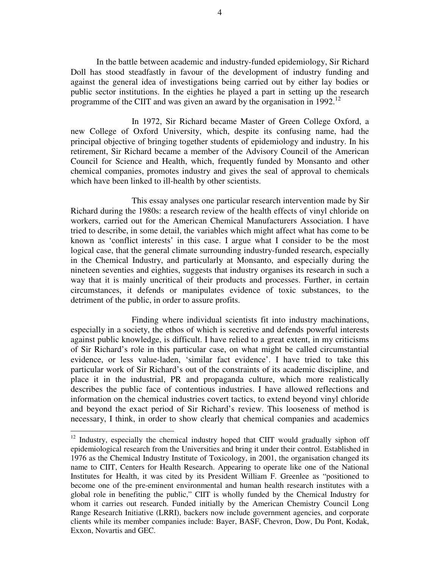In the battle between academic and industry-funded epidemiology, Sir Richard Doll has stood steadfastly in favour of the development of industry funding and against the general idea of investigations being carried out by either lay bodies or public sector institutions. In the eighties he played a part in setting up the research programme of the CIIT and was given an award by the organisation in 1992.<sup>12</sup>

In 1972, Sir Richard became Master of Green College Oxford, a new College of Oxford University, which, despite its confusing name, had the principal objective of bringing together students of epidemiology and industry. In his retirement, Sir Richard became a member of the Advisory Council of the American Council for Science and Health, which, frequently funded by Monsanto and other chemical companies, promotes industry and gives the seal of approval to chemicals which have been linked to ill-health by other scientists.

This essay analyses one particular research intervention made by Sir Richard during the 1980s: a research review of the health effects of vinyl chloride on workers, carried out for the American Chemical Manufacturers Association. I have tried to describe, in some detail, the variables which might affect what has come to be known as 'conflict interests' in this case. I argue what I consider to be the most logical case, that the general climate surrounding industry-funded research, especially in the Chemical Industry, and particularly at Monsanto, and especially during the nineteen seventies and eighties, suggests that industry organises its research in such a way that it is mainly uncritical of their products and processes. Further, in certain circumstances, it defends or manipulates evidence of toxic substances, to the detriment of the public, in order to assure profits.

Finding where individual scientists fit into industry machinations, especially in a society, the ethos of which is secretive and defends powerful interests against public knowledge, is difficult. I have relied to a great extent, in my criticisms of Sir Richard's role in this particular case, on what might be called circumstantial evidence, or less value-laden, 'similar fact evidence'. I have tried to take this particular work of Sir Richard's out of the constraints of its academic discipline, and place it in the industrial, PR and propaganda culture, which more realistically describes the public face of contentious industries. I have allowed reflections and information on the chemical industries covert tactics, to extend beyond vinyl chloride and beyond the exact period of Sir Richard's review. This looseness of method is necessary, I think, in order to show clearly that chemical companies and academics

<sup>&</sup>lt;sup>12</sup> Industry, especially the chemical industry hoped that CIIT would gradually siphon off epidemiological research from the Universities and bring it under their control. Established in 1976 as the Chemical Industry Institute of Toxicology, in 2001, the organisation changed its name to CIIT, Centers for Health Research. Appearing to operate like one of the National Institutes for Health, it was cited by its President William F. Greenlee as " positioned to become one of the pre-eminent environmental and human health research institutes with a global role in benefiting the public," CIIT is wholly funded by the Chemical Industry for whom it carries out research. Funded initially by the American Chemistry Council Long Range Research Initiative (LRRI), backers now include government agencies, and corporate clients while its member companies include: Bayer, BASF, Chevron, Dow, Du Pont, Kodak, Exxon, Novartis and GEC.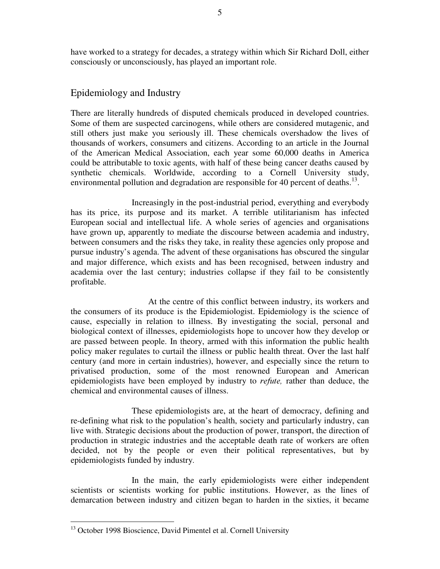have worked to a strategy for decades, a strategy within which Sir Richard Doll, either consciously or unconsciously, has played an important role.

# Epidemiology and Industry

There are literally hundreds of disputed chemicals produced in developed countries. Some of them are suspected carcinogens, while others are considered mutagenic, and still others just make you seriously ill. These chemicals overshadow the lives of thousands of workers, consumers and citizens. According to an article in the Journal of the American Medical Association, each year some 60,000 deaths in America could be attributable to toxic agents, with half of these being cancer deaths caused by synthetic chemicals. Worldwide, according to a Cornell University study, environmental pollution and degradation are responsible for 40 percent of deaths.<sup>13</sup>.

Increasingly in the post-industrial period, everything and everybody has its price, its purpose and its market. A terrible utilitarianism has infected European social and intellectual life. A whole series of agencies and organisations have grown up, apparently to mediate the discourse between academia and industry, between consumers and the risks they take, in reality these agencies only propose and pursue industry's agenda. The advent of these organisations has obscured the singular and major difference, which exists and has been recognised, between industry and academia over the last century; industries collapse if they fail to be consistently profitable.

At the centre of this conflict between industry, its workers and the consumers of its produce is the Epidemiologist. Epidemiology is the science of cause, especially in relation to illness. By investigating the social, personal and biological context of illnesses, epidemiologists hope to uncover how they develop or are passed between people. In theory, armed with this information the public health policy maker regulates to curtail the illness or public health threat. Over the last half century (and more in certain industries), however, and especially since the return to privatised production, some of the most renowned European and American epidemiologists have been employed by industry to refute, rather than deduce, the chemical and environmental causes of illness.

These epidemiologists are, at the heart of democracy, defining and re-defining what risk to the population's health, society and particularly industry, can live with. Strategic decisions about the production of power, transport, the direction of production in strategic industries and the acceptable death rate of workers are often decided, not by the people or even their political representatives, but by epidemiologists funded by industry.

In the main, the early epidemiologists were either independent scientists or scientists working for public institutions. However, as the lines of demarcation between industry and citizen began to harden in the sixties, it became

<sup>&</sup>lt;sup>13</sup> October 1998 Bioscience, David Pimentel et al. Cornell University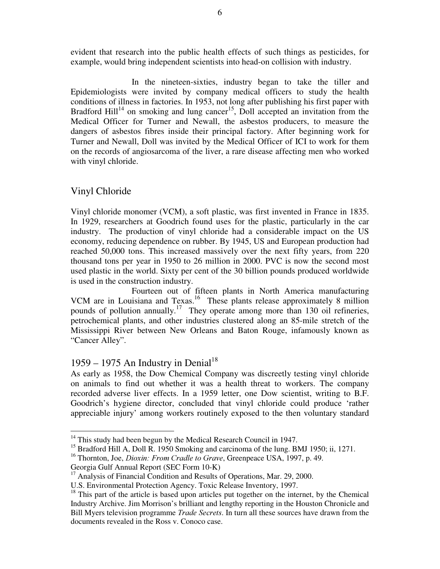evident that research into the public health effects of such things as pesticides, for example, would bring independent scientists into head-on collision with industry.

In the nineteen-sixties, industry began to take the tiller and Epidemiologists were invited by company medical officers to study the health conditions of illness in factories. In 1953, not long after publishing his first paper with Bradford Hill<sup>14</sup> on smoking and lung cancer<sup>15</sup>, Doll accepted an invitation from the Medical Officer for Turner and Newall, the asbestos producers, to measure the dangers of asbestos fibres inside their principal factory. After beginning work for Turner and Newall, Doll was invited by the Medical Officer of ICI to work for them on the records of angiosarcoma of the liver, a rare disease affecting men who worked with vinyl chloride.

## Vinyl Chloride

Vinyl chloride monomer (VCM), a soft plastic, was first invented in France in 1835. In 1929, researchers at Goodrich found uses for the plastic, particularly in the car industry. The production of vinyl chloride had a considerable impact on the US economy, reducing dependence on rubber. By 1945, US and European production had reached 50,000 tons. This increased massively over the next fifty years, from 220 thousand tons per year in 1950 to 26 million in 2000. PVC is now the second most used plastic in the world. Sixty per cent of the 30 billion pounds produced worldwide is used in the construction industry.

Fourteen out of fifteen plants in North America manufacturing VCM are in Louisiana and Texas.<sup>16</sup> These plants release approximately 8 million pounds of pollution annually.<sup>17</sup> They operate among more than 130 oil refineries, petrochemical plants, and other industries clustered along an 85-mile stretch of the Mississippi River between New Orleans and Baton Rouge, infamously known as "Cancer Alley".

# 1959 – 1975 An Industry in Denial<sup>18</sup>

As early as 1958, the Dow Chemical Company was discreetly testing vinyl chloride on animals to find out whether it was a health threat to workers. The company recorded adverse liver effects. In a 1959 letter, one Dow scientist, writing to B.F. Goodrich's hygiene director, concluded that vinyl chloride could produce 'rather appreciable injury' among workers routinely exposed to the then voluntary standard

 $14$  This study had been begun by the Medical Research Council in 1947.

<sup>&</sup>lt;sup>15</sup> Bradford Hill A, Doll R. 1950 Smoking and carcinoma of the lung. BMJ 1950; ii, 1271.

<sup>&</sup>lt;sup>16</sup> Thornton, Joe, *Dioxin: From Cradle to Grave*, Greenpeace USA, 1997, p. 49.

Georgia Gulf Annual Report (SEC Form 10-K)

<sup>&</sup>lt;sup>17</sup> Analysis of Financial Condition and Results of Operations, Mar. 29, 2000.

U.S. Environmental Protection Agency. Toxic Release Inventory, 1997.

 $18$  This part of the article is based upon articles put together on the internet, by the Chemical Industry Archive. Jim Morrison's brilliant and lengthy reporting in the Houston Chronicle and Bill Myers television programme *Trade Secrets*. In turn all these sources have drawn from the documents revealed in the Ross v. Conoco case.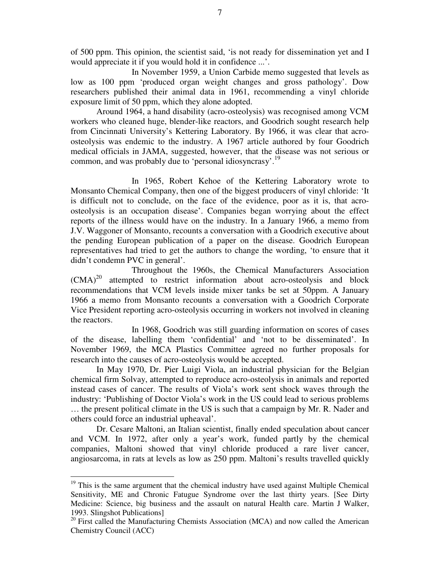of 500 ppm. This opinion, the scientist said, 'is not ready for dissemination yet and I would appreciate it if you would hold it in confidence ...'.

In November 1959, a Union Carbide memo suggested that levels as low as 100 ppm 'produced organ weight changes and gross pathology'. Dow researchers published their animal data in 1961, recommending a vinyl chloride exposure limit of 50 ppm, which they alone adopted.

Around 1964, a hand disability (acro-osteolysis) was recognised among VCM workers who cleaned huge, blender-like reactors, and Goodrich sought research help from Cincinnati University's Kettering Laboratory. By 1966, it was clear that acroosteolysis was endemic to the industry. A 1967 article authored by four Goodrich medical officials in JAMA, suggested, however, that the disease was not serious or common, and was probably due to 'personal idiosyncrasy'.<sup>19</sup>

In 1965, Robert Kehoe of the Kettering Laboratory wrote to Monsanto Chemical Company, then one of the biggest producers of vinyl chloride: 'It is difficult not to conclude, on the face of the evidence, poor as it is, that acroosteolysis is an occupation disease'. Companies began worrying about the effect reports of the illness would have on the industry. In a January 1966, a memo from J.V. Waggoner of Monsanto, recounts a conversation with a Goodrich executive about the pending European publication of a paper on the disease. Goodrich European representatives had tried to get the authors to change the wording, 'to ensure that it didn't condemn PVC in general'.

Throughout the 1960s, the Chemical Manufacturers Association  $(CMA)^{20}$  attempted to restrict information about acro-osteolysis and block recommendations that VCM levels inside mixer tanks be set at 50ppm. A January 1966 a memo from Monsanto recounts a conversation with a Goodrich Corporate Vice President reporting acro-osteolysis occurring in workers not involved in cleaning the reactors.

In 1968, Goodrich was still guarding information on scores of cases of the disease, labelling them 'confidential' and 'not to be disseminated' . In November 1969, the MCA Plastics Committee agreed no further proposals for research into the causes of acro-osteolysis would be accepted.

In May 1970, Dr. Pier Luigi Viola, an industrial physician for the Belgian chemical firm Solvay, attempted to reproduce acro-osteolysis in animals and reported instead cases of cancer. The results of Viola's work sent shock waves through the industry: 'Publishing of Doctor Viola's work in the US could lead to serious problems … the present political climate in the US is such that a campaign by Mr. R. Nader and others could force an industrial upheaval' .

Dr. Cesare Maltoni, an Italian scientist, finally ended speculation about cancer and VCM. In 1972, after only a year's work, funded partly by the chemical companies, Maltoni showed that vinyl chloride produced a rare liver cancer, angiosarcoma, in rats at levels as low as 250 ppm. Maltoni's results travelled quickly

 $19$  This is the same argument that the chemical industry have used against Multiple Chemical Sensitivity, ME and Chronic Fatugue Syndrome over the last thirty years. [See Dirty Medicine: Science, big business and the assault on natural Health care. Martin J Walker, 1993. Slingshot Publications]

<sup>&</sup>lt;sup>20</sup> First called the Manufacturing Chemists Association (MCA) and now called the American Chemistry Council (ACC)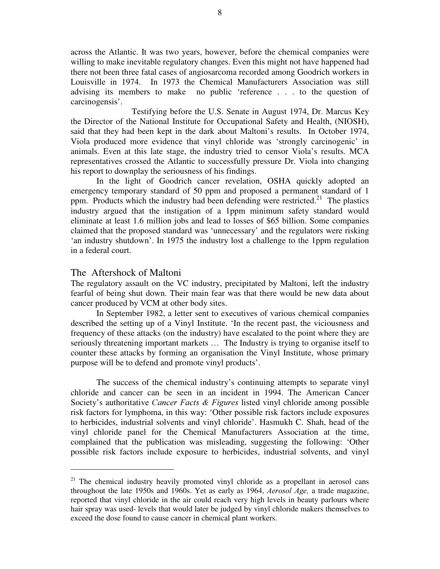across the Atlantic. It was two years, however, before the chemical companies were willing to make inevitable regulatory changes. Even this might not have happened had there not been three fatal cases of angiosarcoma recorded among Goodrich workers in Louisville in 1974. In 1973 the Chemical Manufacturers Association was still advising its members to make no public 'reference . . . to the question of carcinogensis'.

Testifying before the U.S. Senate in August 1974, Dr. Marcus Key the Director of the National Institute for Occupational Safety and Health, (NIOSH), said that they had been kept in the dark about Maltoni's results. In October 1974, Viola produced more evidence that vinyl chloride was 'strongly carcinogenic' in animals. Even at this late stage, the industry tried to censor Viola's results. MCA representatives crossed the Atlantic to successfully pressure Dr. Viola into changing his report to downplay the seriousness of his findings.

In the light of Goodrich cancer revelation, OSHA quickly adopted an emergency temporary standard of 50 ppm and proposed a permanent standard of 1 ppm. Products which the industry had been defending were restricted.<sup>21</sup> The plastics industry argued that the instigation of a 1ppm minimum safety standard would eliminate at least 1.6 million jobs and lead to losses of \$65 billion. Some companies claimed that the proposed standard was 'unnecessary' and the regulators were risking 'an industry shutdown'. In 1975 the industry lost a challenge to the 1ppm regulation in a federal court.

### The Aftershock of Maltoni

The regulatory assault on the VC industry, precipitated by Maltoni, left the industry fearful of being shut down. Their main fear was that there would be new data about cancer produced by VCM at other body sites.

In September 1982, a letter sent to executives of various chemical companies described the setting up of a Vinyl Institute. 'In the recent past, the viciousness and frequency of these attacks (on the industry) have escalated to the point where they are seriously threatening important markets … The Industry is trying to organise itself to counter these attacks by forming an organisation the Vinyl Institute, whose primary purpose will be to defend and promote vinyl products'.

The success of the chemical industry's continuing attempts to separate vinyl chloride and cancer can be seen in an incident in 1994. The American Cancer Society's authoritative Cancer Facts  $\&$  Figures listed vinyl chloride among possible risk factors for lymphoma, in this way: 'Other possible risk factors include exposures to herbicides, industrial solvents and vinyl chloride' . Hasmukh C. Shah, head of the vinyl chloride panel for the Chemical Manufacturers Association at the time, complained that the publication was misleading, suggesting the following: 'Other possible risk factors include exposure to herbicides, industrial solvents, and vinyl

 $21$  The chemical industry heavily promoted vinyl chloride as a propellant in aerosol cans throughout the late 1950s and 1960s. Yet as early as 1964,  $Aerosol Age$ , a trade magazine, reported that vinyl chloride in the air could reach very high levels in beauty parlours where hair spray was used- levels that would later be judged by vinyl chloride makers themselves to exceed the dose found to cause cancer in chemical plant workers.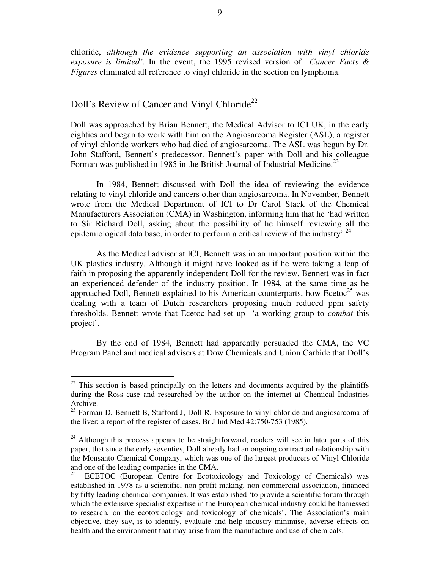chloride, although the evidence supporting an association with vinyl chloride exposure is limited'. In the event, the 1995 revised version of Cancer Facts  $\&$ Figures eliminated all reference to vinyl chloride in the section on lymphoma.

# Doll's Review of Cancer and Vinyl Chloride<sup>22</sup>

Doll was approached by Brian Bennett, the Medical Advisor to ICI UK, in the early eighties and began to work with him on the Angiosarcoma Register (ASL), a register of vinyl chloride workers who had died of angiosarcoma. The ASL was begun by Dr. John Stafford, Bennett's predecessor. Bennett's paper with Doll and his colleague Forman was published in 1985 in the British Journal of Industrial Medicine.<sup>23</sup>

In 1984, Bennett discussed with Doll the idea of reviewing the evidence relating to vinyl chloride and cancers other than angiosarcoma. In November, Bennett wrote from the Medical Department of ICI to Dr Carol Stack of the Chemical Manufacturers Association (CMA) in Washington, informing him that he 'had written to Sir Richard Doll, asking about the possibility of he himself reviewing all the epidemiological data base, in order to perform a critical review of the industry'.<sup>24</sup>

As the Medical adviser at ICI, Bennett was in an important position within the UK plastics industry. Although it might have looked as if he were taking a leap of faith in proposing the apparently independent Doll for the review, Bennett was in fact an experienced defender of the industry position. In 1984, at the same time as he approached Doll, Bennett explained to his American counterparts, how Ecetoc<sup>25</sup> was dealing with a team of Dutch researchers proposing much reduced ppm safety thresholds. Bennett wrote that Ecetoc had set up 'a working group to *combat* this project'.

By the end of 1984, Bennett had apparently persuaded the CMA, the VC Program Panel and medical advisers at Dow Chemicals and Union Carbide that Doll's

 $22$  This section is based principally on the letters and documents acquired by the plaintiffs during the Ross case and researched by the author on the internet at Chemical Industries Archive.

<sup>&</sup>lt;sup>23</sup> Forman D, Bennett B, Stafford J, Doll R. Exposure to vinyl chloride and angiosarcoma of the liver: a report of the register of cases. Br J Ind Med 42:750-753 (1985).

 $24$  Although this process appears to be straightforward, readers will see in later parts of this paper, that since the early seventies, Doll already had an ongoing contractual relationship with the Monsanto Chemical Company, which was one of the largest producers of Vinyl Chloride and one of the leading companies in the CMA.<br><sup>25</sup> ECETOC (European Centre, for Ecotox)

ECETOC (European Centre for Ecotoxicology and Toxicology of Chemicals) was established in 1978 as a scientific, non-profit making, non-commercial association, financed by fifty leading chemical companies. It was established 'to provide a scientific forum through which the extensive specialist expertise in the European chemical industry could be harnessed to research, on the ecotoxicology and toxicology of chemicals'. The Association's main objective, they say, is to identify, evaluate and help industry minimise, adverse effects on health and the environment that may arise from the manufacture and use of chemicals.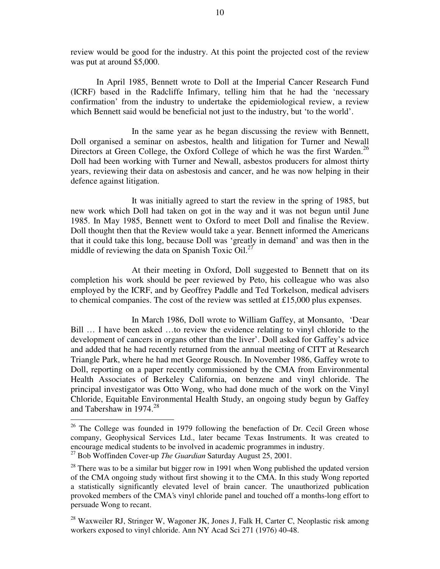review would be good for the industry. At this point the projected cost of the review was put at around \$5,000.

In April 1985, Bennett wrote to Doll at the Imperial Cancer Research Fund (ICRF) based in the Radcliffe Infimary, telling him that he had the 'necessary confirmation' from the industry to undertake the epidemiological review, a review which Bennett said would be beneficial not just to the industry, but 'to the world'.

In the same year as he began discussing the review with Bennett, Doll organised a seminar on asbestos, health and litigation for Turner and Newall Directors at Green College, the Oxford College of which he was the first Warden.<sup>26</sup> Doll had been working with Turner and Newall, asbestos producers for almost thirty years, reviewing their data on asbestosis and cancer, and he was now helping in their defence against litigation.

It was initially agreed to start the review in the spring of 1985, but new work which Doll had taken on got in the way and it was not begun until June 1985. In May 1985, Bennett went to Oxford to meet Doll and finalise the Review. Doll thought then that the Review would take a year. Bennett informed the Americans that it could take this long, because Doll was 'greatly in demand' and was then in the middle of reviewing the data on Spanish Toxic Oil.<sup>27</sup>

At their meeting in Oxford, Doll suggested to Bennett that on its completion his work should be peer reviewed by Peto, his colleague who was also employed by the ICRF, and by Geoffrey Paddle and Ted Torkelson, medical advisers to chemical companies. The cost of the review was settled at £15,000 plus expenses.

In March 1986, Doll wrote to William Gaffey, at Monsanto, 'Dear Bill … I have been asked … to review the evidence relating to vinyl chloride to the development of cancers in organs other than the liver'. Doll asked for Gaffey's advice and added that he had recently returned from the annual meeting of CITT at Research Triangle Park, where he had met George Rousch. In November 1986, Gaffey wrote to Doll, reporting on a paper recently commissioned by the CMA from Environmental Health Associates of Berkeley California, on benzene and vinyl chloride. The principal investigator was Otto Wong, who had done much of the work on the Vinyl Chloride, Equitable Environmental Health Study, an ongoing study begun by Gaffey and Tabershaw in 1974. 28

<sup>&</sup>lt;sup>26</sup> The College was founded in 1979 following the benefaction of Dr. Cecil Green whose company, Geophysical Services Ltd., later became Texas Instruments. It was created to encourage medical students to be involved in academic programmes in industry.  $^{27}$  Bob Woffinden Cover-up The Guardian Saturday August 25, 2001.

 $28$  There was to be a similar but bigger row in 1991 when Wong published the updated version of the CMA ongoing study without first showing it to the CMA. In this study Wong reported a statistically significantly elevated level of brain cancer. The unauthorized publication provoked members of the CMA's vinyl chloride panel and touched off a months-long effort to persuade Wong to recant.

 $^{28}$  Waxweiler RJ, Stringer W, Wagoner JK, Jones J, Falk H, Carter C, Neoplastic risk among workers exposed to vinyl chloride. Ann NY Acad Sci 271 (1976) 40-48.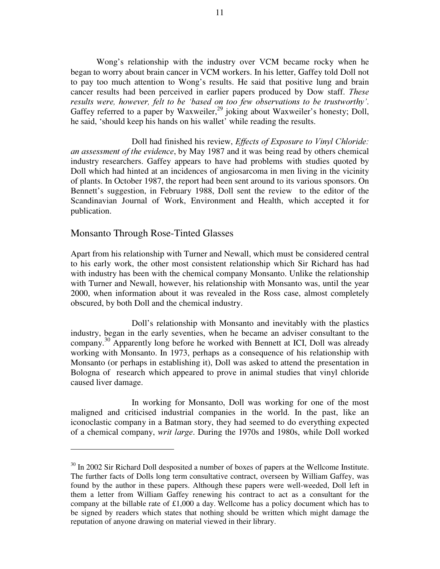Wong's relationship with the industry over VCM became rocky when he began to worry about brain cancer in VCM workers. In his letter, Gaffey told Doll not to pay too much attention to Wong's results. He said that positive lung and brain cancer results had been perceived in earlier papers produced by Dow staff. *These* results were, however, felt to be 'based on too few observations to be trustworthy'. Gaffey referred to a paper by Waxweiler,<sup>29</sup> joking about Waxweiler's honesty; Doll, he said, 'should keep his hands on his wallet' while reading the results.

Doll had finished his review, *Effects of Exposure to Vinyl Chloride*: an assessment of the evidence, by May 1987 and it was being read by others chemical industry researchers. Gaffey appears to have had problems with studies quoted by Doll which had hinted at an incidences of angiosarcoma in men living in the vicinity of plants. In October 1987, the report had been sent around to its various sponsors. On Bennett's suggestion, in February 1988, Doll sent the review to the editor of the Scandinavian Journal of Work, Environment and Health, which accepted it for publication.

#### Monsanto Through Rose-Tinted Glasses

Apart from his relationship with Turner and Newall, which must be considered central to his early work, the other most consistent relationship which Sir Richard has had with industry has been with the chemical company Monsanto. Unlike the relationship with Turner and Newall, however, his relationship with Monsanto was, until the year 2000, when information about it was revealed in the Ross case, almost completely obscured, by both Doll and the chemical industry.

Doll's relationship with Monsanto and inevitably with the plastics industry, began in the early seventies, when he became an adviser consultant to the company.<sup>30</sup> Apparently long before he worked with Bennett at ICI, Doll was already working with Monsanto. In 1973, perhaps as a consequence of his relationship with Monsanto (or perhaps in establishing it), Doll was asked to attend the presentation in Bologna of research which appeared to prove in animal studies that vinyl chloride caused liver damage.

In working for Monsanto, Doll was working for one of the most maligned and criticised industrial companies in the world. In the past, like an iconoclastic company in a Batman story, they had seemed to do everything expected of a chemical company, *writ large*. During the 1970s and 1980s, while Doll worked

<sup>&</sup>lt;sup>30</sup> In 2002 Sir Richard Doll desposited a number of boxes of papers at the Wellcome Institute. The further facts of Dolls long term consultative contract, overseen by William Gaffey, was found by the author in these papers. Although these papers were well-weeded, Doll left in them a letter from William Gaffey renewing his contract to act as a consultant for the company at the billable rate of £1,000 a day. Wellcome has a policy document which has to be signed by readers which states that nothing should be written which might damage the reputation of anyone drawing on material viewed in their library.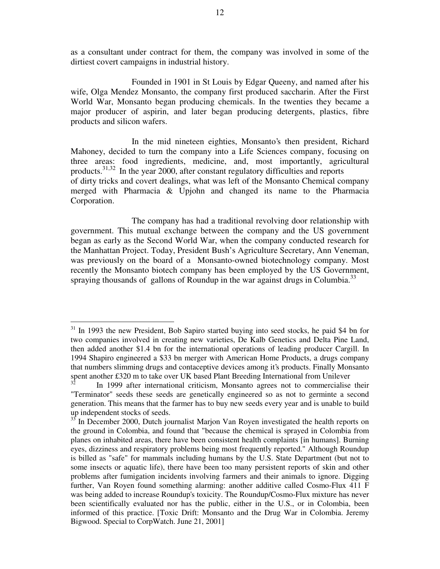as a consultant under contract for them, the company was involved in some of the dirtiest covert campaigns in industrial history.

Founded in 1901 in St Louis by Edgar Queeny, and named after his wife, Olga Mendez Monsanto, the company first produced saccharin. After the First World War, Monsanto began producing chemicals. In the twenties they became a major producer of aspirin, and later began producing detergents, plastics, fibre products and silicon wafers.

In the mid nineteen eighties, Monsanto's then president, Richard Mahoney, decided to turn the company into a Life Sciences company, focusing on three areas: food ingredients, medicine, and, most importantly, agricultural products.<sup>31,32</sup> In the year 2000, after constant regulatory difficulties and reports of dirty tricks and covert dealings, what was left of the Monsanto Chemical company merged with Pharmacia & Upjohn and changed its name to the Pharmacia Corporation.

The company has had a traditional revolving door relationship with government. This mutual exchange between the company and the US government began as early as the Second World War, when the company conducted research for the Manhattan Project. Today, President Bush's Agriculture Secretary, Ann Veneman, was previously on the board of a Monsanto-owned biotechnology company. Most recently the Monsanto biotech company has been employed by the US Government, spraying thousands of gallons of Roundup in the war against drugs in Columbia.<sup>33</sup>

<sup>&</sup>lt;sup>31</sup> In 1993 the new President, Bob Sapiro started buying into seed stocks, he paid \$4 bn for two companies involved in creating new varieties, De Kalb Genetics and Delta Pine Land, then added another \$1.4 bn for the international operations of leading producer Cargill. In 1994 Shapiro engineered a \$33 bn merger with American Home Products, a drugs company that numbers slimming drugs and contaceptive devices among it's products. Finally Monsanto spent another £320 m to take over UK based Plant Breeding International from Unilever

In 1999 after international criticism, Monsanto agrees not to commercialise their "Terminator" seeds these seeds are genetically engineered so as not to germinte a second generation. This means that the farmer has to buy new seeds every year and is unable to build up independent stocks of seeds.

<sup>&</sup>lt;sup>33</sup> In December 2000, Dutch journalist Marjon Van Royen investigated the health reports on the ground in Colombia, and found that "because the chemical is sprayed in Colombia from planes on inhabited areas, there have been consistent health complaints [in humans]. Burning eyes, dizziness and respiratory problems being most frequently reported." Although Roundup is billed as "safe" for mammals including humans by the U.S. State Department (but not to some insects or aquatic life), there have been too many persistent reports of skin and other problems after fumigation incidents involving farmers and their animals to ignore. Digging further, Van Royen found something alarming: another additive called Cosmo-Flux 411 F was being added to increase Roundup's toxicity. The Roundup/Cosmo-Flux mixture has never been scientifically evaluated nor has the public, either in the U.S., or in Colombia, been informed of this practice. [Toxic Drift: Monsanto and the Drug War in Colombia. Jeremy Bigwood. Special to CorpWatch. June 21, 2001]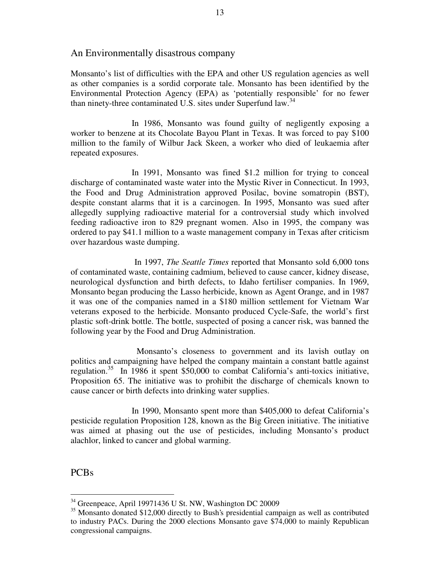## An Environmentally disastrous company

Monsanto's list of difficulties with the EPA and other US regulation agencies as well as other companies is a sordid corporate tale. Monsanto has been identified by the Environmental Protection Agency (EPA) as 'potentially responsible' for no fewer than ninety-three contaminated U.S. sites under Superfund law.<sup>34</sup>

In 1986, Monsanto was found guilty of negligently exposing a worker to benzene at its Chocolate Bayou Plant in Texas. It was forced to pay \$100 million to the family of Wilbur Jack Skeen, a worker who died of leukaemia after repeated exposures.

In 1991, Monsanto was fined \$1.2 million for trying to conceal discharge of contaminated waste water into the Mystic River in Connecticut. In 1993, the Food and Drug Administration approved Posilac, bovine somatropin (BST), despite constant alarms that it is a carcinogen. In 1995, Monsanto was sued after allegedly supplying radioactive material for a controversial study which involved feeding radioactive iron to 829 pregnant women. Also in 1995, the company was ordered to pay \$41.1 million to a waste management company in Texas after criticism over hazardous waste dumping.

In 1997, *The Seattle Times* reported that Monsanto sold 6,000 tons of contaminated waste, containing cadmium, believed to cause cancer, kidney disease, neurological dysfunction and birth defects, to Idaho fertiliser companies. In 1969, Monsanto began producing the Lasso herbicide, known as Agent Orange, and in 1987 it was one of the companies named in a \$180 million settlement for Vietnam War veterans exposed to the herbicide. Monsanto produced Cycle-Safe, the world's first plastic soft-drink bottle. The bottle, suspected of posing a cancer risk, was banned the following year by the Food and Drug Administration.

Monsanto's closeness to government and its lavish outlay on politics and campaigning have helped the company maintain a constant battle against regulation. 35 In 1986 it spent \$50,000 to combat California's anti-toxics initiative, Proposition 65. The initiative was to prohibit the discharge of chemicals known to cause cancer or birth defects into drinking water supplies.

In 1990, Monsanto spent more than \$405,000 to defeat California's pesticide regulation Proposition 128, known as the Big Green initiative. The initiative was aimed at phasing out the use of pesticides, including Monsanto's product alachlor, linked to cancer and global warming.

PCBs

<sup>34</sup> Greenpeace, April 19971436 U St. NW, Washington DC 20009

<sup>&</sup>lt;sup>35</sup> Monsanto donated \$12,000 directly to Bush's presidential campaign as well as contributed to industry PACs. During the 2000 elections Monsanto gave \$74,000 to mainly Republican congressional campaigns.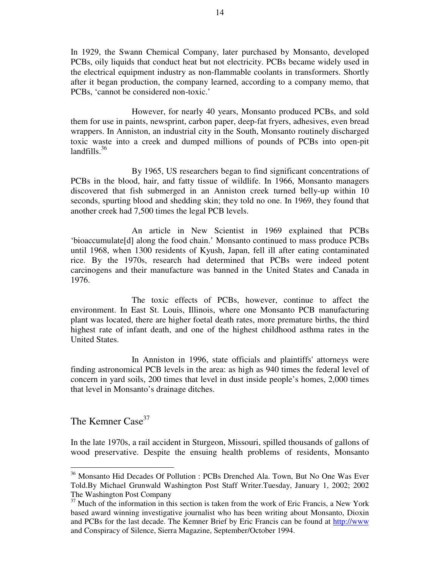In 1929, the Swann Chemical Company, later purchased by Monsanto, developed PCBs, oily liquids that conduct heat but not electricity. PCBs became widely used in the electrical equipment industry as non-flammable coolants in transformers. Shortly after it began production, the company learned, according to a company memo, that PCBs, 'cannot be considered non-toxic.'

However, for nearly 40 years, Monsanto produced PCBs, and sold them for use in paints, newsprint, carbon paper, deep-fat fryers, adhesives, even bread wrappers. In Anniston, an industrial city in the South, Monsanto routinely discharged toxic waste into a creek and dumped millions of pounds of PCBs into open-pit landfills. 36

By 1965, US researchers began to find significant concentrations of PCBs in the blood, hair, and fatty tissue of wildlife. In 1966, Monsanto managers discovered that fish submerged in an Anniston creek turned belly-up within 10 seconds, spurting blood and shedding skin; they told no one. In 1969, they found that another creek had 7,500 times the legal PCB levels.

An article in New Scientist in 1969 explained that PCBs 'bioaccumulate[d] along the food chain.' Monsanto continued to mass produce PCBs until 1968, when 1300 residents of Kyush, Japan, fell ill after eating contaminated rice. By the 1970s, research had determined that PCBs were indeed potent carcinogens and their manufacture was banned in the United States and Canada in 1976.

The toxic effects of PCBs, however, continue to affect the environment. In East St. Louis, Illinois, where one Monsanto PCB manufacturing plant was located, there are higher foetal death rates, more premature births, the third highest rate of infant death, and one of the highest childhood asthma rates in the United States.

In Anniston in 1996, state officials and plaintiffs'attorneys were finding astronomical PCB levels in the area: as high as 940 times the federal level of concern in yard soils, 200 times that level in dust inside people's homes, 2,000 times that level in Monsanto's drainage ditches.

The Kemner Case<sup>37</sup>

In the late 1970s, a rail accident in Sturgeon, Missouri, spilled thousands of gallons of wood preservative. Despite the ensuing health problems of residents, Monsanto

<sup>36</sup> Monsanto Hid Decades Of Pollution : PCBs Drenched Ala. Town, But No One Was Ever Told.By Michael Grunwald Washington Post Staff Writer.Tuesday, January 1, 2002; 2002 The Washington Post Company

 $37$  Much of the information in this section is taken from the work of Eric Francis, a New York based award winning investigative journalist who has been writing about Monsanto, Dioxin and PCBs for the last decade. The Kemner Brief by Eric Francis can be found at http://www and Conspiracy of Silence, Sierra Magazine, September/October 1994.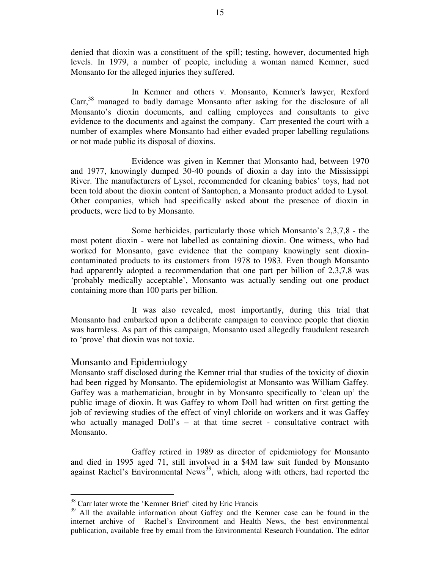denied that dioxin was a constituent of the spill; testing, however, documented high levels. In 1979, a number of people, including a woman named Kemner, sued Monsanto for the alleged injuries they suffered.

In Kemner and others v. Monsanto, Kemner's lawyer, Rexford Carr,<sup>38</sup> managed to badly damage Monsanto after asking for the disclosure of all Monsanto's dioxin documents, and calling employees and consultants to give evidence to the documents and against the company. Carr presented the court with a number of examples where Monsanto had either evaded proper labelling regulations or not made public its disposal of dioxins.

Evidence was given in Kemner that Monsanto had, between 1970 and 1977, knowingly dumped 30-40 pounds of dioxin a day into the Mississippi River. The manufacturers of Lysol, recommended for cleaning babies' toys, had not been told about the dioxin content of Santophen, a Monsanto product added to Lysol. Other companies, which had specifically asked about the presence of dioxin in products, were lied to by Monsanto.

Some herbicides, particularly those which Monsanto's 2,3,7,8 - the most potent dioxin - were not labelled as containing dioxin. One witness, who had worked for Monsanto, gave evidence that the company knowingly sent dioxincontaminated products to its customers from 1978 to 1983. Even though Monsanto had apparently adopted a recommendation that one part per billion of 2,3,7,8 was 'probably medically acceptable', Monsanto was actually sending out one product containing more than 100 parts per billion.

It was also revealed, most importantly, during this trial that Monsanto had embarked upon a deliberate campaign to convince people that dioxin was harmless. As part of this campaign, Monsanto used allegedly fraudulent research to 'prove' that dioxin was not toxic.

## Monsanto and Epidemiology

Monsanto staff disclosed during the Kemner trial that studies of the toxicity of dioxin had been rigged by Monsanto. The epidemiologist at Monsanto was William Gaffey. Gaffey was a mathematician, brought in by Monsanto specifically to 'clean up' the public image of dioxin. It was Gaffey to whom Doll had written on first getting the job of reviewing studies of the effect of vinyl chloride on workers and it was Gaffey who actually managed Doll's – at that time secret - consultative contract with Monsanto.

Gaffey retired in 1989 as director of epidemiology for Monsanto and died in 1995 aged 71, still involved in a \$4M law suit funded by Monsanto against Rachel's Environmental News<sup>39</sup>, which, along with others, had reported the

<sup>38</sup> Carr later wrote the 'Kemner Brief' cited by Eric Francis

<sup>&</sup>lt;sup>39</sup> All the available information about Gaffey and the Kemner case can be found in the internet archive of Rachel's Environment and Health News, the best environmental publication, available free by email from the Environmental Research Foundation. The editor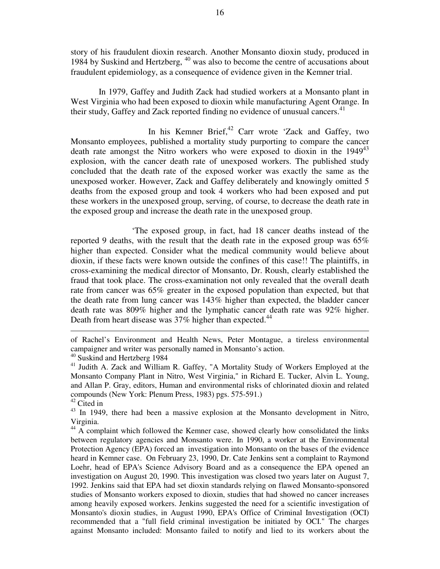story of his fraudulent dioxin research. Another Monsanto dioxin study, produced in 1984 by Suskind and Hertzberg, <sup>40</sup> was also to become the centre of accusations about fraudulent epidemiology, as a consequence of evidence given in the Kemner trial.

In 1979, Gaffey and Judith Zack had studied workers at a Monsanto plant in West Virginia who had been exposed to dioxin while manufacturing Agent Orange. In their study, Gaffey and Zack reported finding no evidence of unusual cancers.<sup>41</sup>

In his Kemner Brief,<sup>42</sup> Carr wrote 'Zack and Gaffey, two Monsanto employees, published a mortality study purporting to compare the cancer death rate amongst the Nitro workers who were exposed to dioxin in the 1949 43 explosion, with the cancer death rate of unexposed workers. The published study concluded that the death rate of the exposed worker was exactly the same as the unexposed worker. However, Zack and Gaffey deliberately and knowingly omitted 5 deaths from the exposed group and took 4 workers who had been exposed and put these workers in the unexposed group, serving, of course, to decrease the death rate in the exposed group and increase the death rate in the unexposed group.

'The exposed group, in fact, had 18 cancer deaths instead of the reported 9 deaths, with the result that the death rate in the exposed group was 65% higher than expected. Consider what the medical community would believe about dioxin, if these facts were known outside the confines of this case!! The plaintiffs, in cross-examining the medical director of Monsanto, Dr. Roush, clearly established the fraud that took place. The cross-examination not only revealed that the overall death rate from cancer was 65% greater in the exposed population than expected, but that the death rate from lung cancer was 143% higher than expected, the bladder cancer death rate was 809% higher and the lymphatic cancer death rate was 92% higher. Death from heart disease was 37% higher than expected.<sup>44</sup>

of Rachel's Environment and Health News, Peter Montague, a tireless environmental campaigner and writer was personally named in Monsanto's action.

<sup>&</sup>lt;sup>40</sup> Suskind and Hertzberg 1984

<sup>&</sup>lt;sup>41</sup> Judith A. Zack and William R. Gaffey, "A Mortality Study of Workers Employed at the Monsanto Company Plant in Nitro, West Virginia," in Richard E. Tucker, Alvin L. Young, and Allan P. Gray, editors, Human and environmental risks of chlorinated dioxin and related compounds (New York: Plenum Press, 1983) pgs. 575-591.)

<sup>&</sup>lt;sup>42</sup> Cited in

<sup>&</sup>lt;sup>43</sup> In 1949, there had been a massive explosion at the Monsanto development in Nitro, Virginia.

<sup>&</sup>lt;sup>44</sup> A complaint which followed the Kemner case, showed clearly how consolidated the links between regulatory agencies and Monsanto were. In 1990, a worker at the Environmental Protection Agency (EPA) forced an investigation into Monsanto on the bases of the evidence heard in Kemner case. On February 23, 1990, Dr. Cate Jenkins sent a complaint to Raymond Loehr, head of EPA's Science Advisory Board and as a consequence the EPA opened an investigation on August 20, 1990. This investigation was closed two years later on August 7, 1992. Jenkins said that EPA had set dioxin standards relying on flawed Monsanto-sponsored studies of Monsanto workers exposed to dioxin, studies that had showed no cancer increases among heavily exposed workers. Jenkins suggested the need for a scientific investigation of Monsanto's dioxin studies, in August 1990, EPA's Office of Criminal Investigation (OCI) recommended that a "full field criminal investigation be initiated by OCI." The charges against Monsanto included: Monsanto failed to notify and lied to its workers about the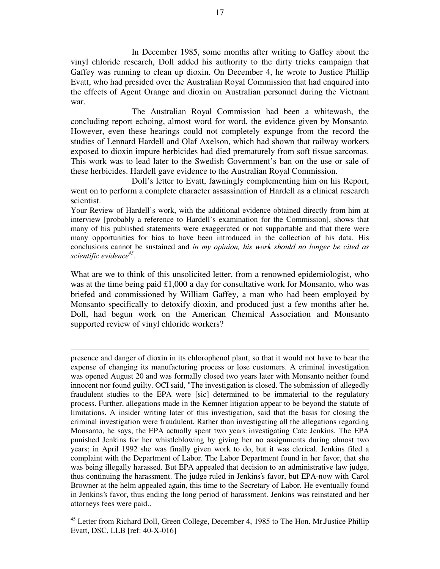In December 1985, some months after writing to Gaffey about the vinyl chloride research, Doll added his authority to the dirty tricks campaign that Gaffey was running to clean up dioxin. On December 4, he wrote to Justice Phillip Evatt, who had presided over the Australian Royal Commission that had enquired into the effects of Agent Orange and dioxin on Australian personnel during the Vietnam war.

The Australian Royal Commission had been a whitewash, the concluding report echoing, almost word for word, the evidence given by Monsanto. However, even these hearings could not completely expunge from the record the studies of Lennard Hardell and Olaf Axelson, which had shown that railway workers exposed to dioxin impure herbicides had died prematurely from soft tissue sarcomas. This work was to lead later to the Swedish Government's ban on the use or sale of these herbicides. Hardell gave evidence to the Australian Royal Commission.

Doll's letter to Evatt, fawningly complementing him on his Report, went on to perform a complete character assassination of Hardell as a clinical research scientist.

Your Review of Hardell's work, with the additional evidence obtained directly from him at interview [probably a reference to Hardell's examination for the Commission], shows that many of his published statements were exaggerated or not supportable and that there were many opportunities for bias to have been introduced in the collection of his data. His conclusions cannot be sustained and in my opinion, his work should no longer be cited as scientific evidence<sup>45</sup>.

What are we to think of this unsolicited letter, from a renowned epidemiologist, who was at the time being paid £1,000 a day for consultative work for Monsanto, who was briefed and commissioned by William Gaffey, a man who had been employed by Monsanto specifically to detoxify dioxin, and produced just a few months after he, Doll, had begun work on the American Chemical Association and Monsanto supported review of vinyl chloride workers?

presence and danger of dioxin in its chlorophenol plant, so that it would not have to bear the expense of changing its manufacturing process or lose customers. A criminal investigation was opened August 20 and was formally closed two years later with Monsanto neither found innocent nor found guilty. OCI said, "The investigation is closed. The submission of allegedly fraudulent studies to the EPA were [sic] determined to be immaterial to the regulatory process. Further, allegations made in the Kemner litigation appear to be beyond the statute of limitations. A insider writing later of this investigation, said that the basis for closing the criminal investigation were fraudulent. Rather than investigating all the allegations regarding Monsanto, he says, the EPA actually spent two years investigating Cate Jenkins. The EPA punished Jenkins for her whistleblowing by giving her no assignments during almost two years; in April 1992 she was finally given work to do, but it was clerical. Jenkins filed a complaint with the Department of Labor. The Labor Department found in her favor, that she was being illegally harassed. But EPA appealed that decision to an administrative law judge, thus continuing the harassment. The judge ruled in Jenkins's favor, but EPA-now with Carol Browner at the helm appealed again, this time to the Secretary of Labor. He eventually found in Jenkins's favor, thus ending the long period of harassment. Jenkins was reinstated and her attorneys fees were paid..

<sup>45</sup> Letter from Richard Doll, Green College, December 4, 1985 to The Hon. Mr.Justice Phillip Evatt, DSC, LLB [ref: 40-X-016]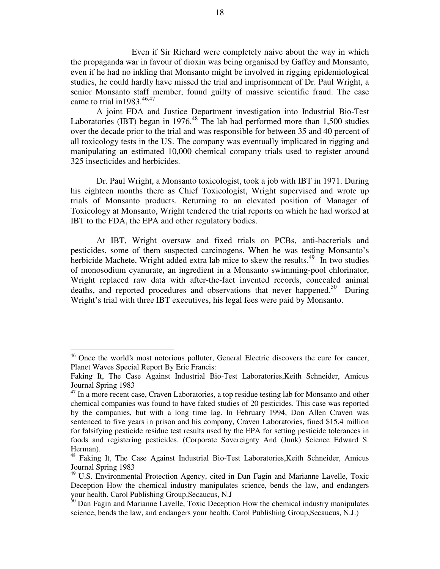Even if Sir Richard were completely naive about the way in which the propaganda war in favour of dioxin was being organised by Gaffey and Monsanto, even if he had no inkling that Monsanto might be involved in rigging epidemiological studies, he could hardly have missed the trial and imprisonment of Dr. Paul Wright, a senior Monsanto staff member, found guilty of massive scientific fraud. The case came to trial in 1983. $46,47$ 

A joint FDA and Justice Department investigation into Industrial Bio-Test Laboratories (IBT) began in 1976.<sup>48</sup> The lab had performed more than 1,500 studies over the decade prior to the trial and was responsible for between 35 and 40 percent of all toxicology tests in the US. The company was eventually implicated in rigging and manipulating an estimated 10,000 chemical company trials used to register around 325 insecticides and herbicides.

Dr. Paul Wright, a Monsanto toxicologist, took a job with IBT in 1971. During his eighteen months there as Chief Toxicologist, Wright supervised and wrote up trials of Monsanto products. Returning to an elevated position of Manager of Toxicology at Monsanto, Wright tendered the trial reports on which he had worked at IBT to the FDA, the EPA and other regulatory bodies.

At IBT, Wright oversaw and fixed trials on PCBs, anti-bacterials and pesticides, some of them suspected carcinogens. When he was testing Monsanto's herbicide Machete, Wright added extra lab mice to skew the results.<sup>49</sup> In two studies of monosodium cyanurate, an ingredient in a Monsanto swimming-pool chlorinator, Wright replaced raw data with after-the-fact invented records, concealed animal deaths, and reported procedures and observations that never happened.<sup>50</sup> During Wright's trial with three IBT executives, his legal fees were paid by Monsanto.

<sup>&</sup>lt;sup>46</sup> Once the world's most notorious polluter, General Electric discovers the cure for cancer, Planet Waves Special Report By Eric Francis:

Faking It, The Case Against Industrial Bio-Test Laboratories,Keith Schneider, Amicus Journal Spring 1983

<sup>&</sup>lt;sup>47</sup> In a more recent case, Craven Laboratories, a top residue testing lab for Monsanto and other chemical companies was found to have faked studies of 20 pesticides. This case was reported by the companies, but with a long time lag. In February 1994, Don Allen Craven was sentenced to five years in prison and his company, Craven Laboratories, fined \$15.4 million for falsifying pesticide residue test results used by the EPA for setting pesticide tolerances in foods and registering pesticides. (Corporate Sovereignty And (Junk) Science Edward S. Herman).

<sup>&</sup>lt;sup>48</sup> Faking It, The Case Against Industrial Bio-Test Laboratories, Keith Schneider, Amicus Journal Spring 1983

<sup>&</sup>lt;sup>49</sup> U.S. Environmental Protection Agency, cited in Dan Fagin and Marianne Lavelle, Toxic Deception How the chemical industry manipulates science, bends the law, and endangers your health. Carol Publishing Group,Secaucus, N.J

<sup>&</sup>lt;sup>50</sup> Dan Fagin and Marianne Lavelle, Toxic Deception How the chemical industry manipulates science, bends the law, and endangers your health. Carol Publishing Group,Secaucus, N.J.)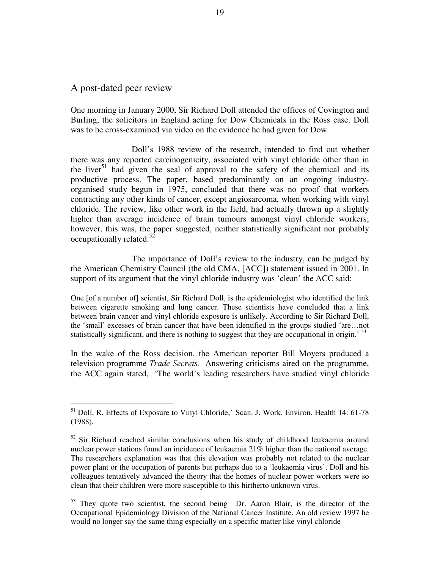### A post-dated peer review

One morning in January 2000, Sir Richard Doll attended the offices of Covington and Burling, the solicitors in England acting for Dow Chemicals in the Ross case. Doll was to be cross-examined via video on the evidence he had given for Dow.

Doll's 1988 review of the research, intended to find out whether there was any reported carcinogenicity, associated with vinyl chloride other than in the liver<sup>51</sup> had given the seal of approval to the safety of the chemical and its productive process. The paper, based predominantly on an ongoing industryorganised study begun in 1975, concluded that there was no proof that workers contracting any other kinds of cancer, except angiosarcoma, when working with vinyl chloride. The review, like other work in the field, had actually thrown up a slightly higher than average incidence of brain tumours amongst vinyl chloride workers; however, this was, the paper suggested, neither statistically significant nor probably occupationally related.<sup>52</sup>

The importance of Doll's review to the industry, can be judged by the American Chemistry Council (the old CMA, [ACC]) statement issued in 2001. In support of its argument that the vinyl chloride industry was 'clean' the ACC said:

One [of a number of] scientist, Sir Richard Doll, is the epidemiologist who identified the link between cigarette smoking and lung cancer. These scientists have concluded that a link between brain cancer and vinyl chloride exposure is unlikely. According to Sir Richard Doll, the 'small' excesses of brain cancer that have been identified in the groups studied 'are… not statistically significant, and there is nothing to suggest that they are occupational in origin.' <sup>53</sup>

In the wake of the Ross decision, the American reporter Bill Moyers produced a television programme *Trade Secrets*. Answering criticisms aired on the programme, the ACC again stated, 'The world's leading researchers have studied vinyl chloride

<sup>53</sup> They quote two scientist, the second being Dr. Aaron Blair, is the director of the Occupational Epidemiology Division of the National Cancer Institute. An old review 1997 he would no longer say the same thing especially on a specific matter like vinyl chloride

<sup>&</sup>lt;sup>51</sup> Doll, R. Effects of Exposure to Vinyl Chloride,' Scan. J. Work. Environ. Health 14: 61-78 (1988).

 $52$  Sir Richard reached similar conclusions when his study of childhood leukaemia around nuclear power stations found an incidence of leukaemia 21% higher than the national average. The researchers explanation was that this elevation was probably not related to the nuclear power plant or the occupation of parents but perhaps due to a `leukaemia virus' . Doll and his colleagues tentatively advanced the theory that the homes of nuclear power workers were so clean that their children were more susceptible to this hirtherto unknown virus.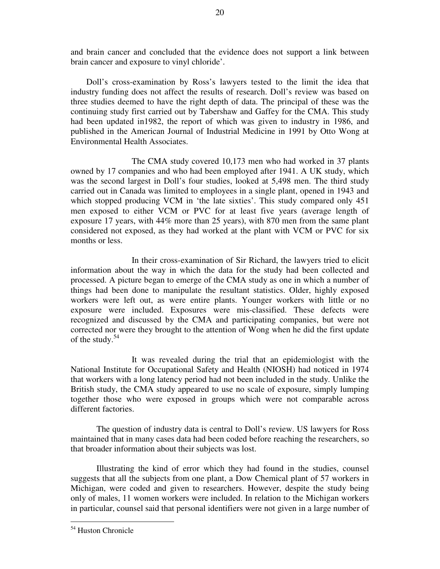and brain cancer and concluded that the evidence does not support a link between brain cancer and exposure to vinyl chloride' .

Doll's cross-examination by Ross's lawyers tested to the limit the idea that industry funding does not affect the results of research. Doll's review was based on three studies deemed to have the right depth of data. The principal of these was the continuing study first carried out by Tabershaw and Gaffey for the CMA. This study had been updated in1982, the report of which was given to industry in 1986, and published in the American Journal of Industrial Medicine in 1991 by Otto Wong at Environmental Health Associates.

The CMA study covered 10,173 men who had worked in 37 plants owned by 17 companies and who had been employed after 1941. A UK study, which was the second largest in Doll's four studies, looked at 5,498 men. The third study carried out in Canada was limited to employees in a single plant, opened in 1943 and which stopped producing VCM in 'the late sixties'. This study compared only 451 men exposed to either VCM or PVC for at least five years (average length of exposure 17 years, with 44% more than 25 years), with 870 men from the same plant considered not exposed, as they had worked at the plant with VCM or PVC for six months or less.

In their cross-examination of Sir Richard, the lawyers tried to elicit information about the way in which the data for the study had been collected and processed. A picture began to emerge of the CMA study as one in which a number of things had been done to manipulate the resultant statistics. Older, highly exposed workers were left out, as were entire plants. Younger workers with little or no exposure were included. Exposures were mis-classified. These defects were recognized and discussed by the CMA and participating companies, but were not corrected nor were they brought to the attention of Wong when he did the first update of the study.<sup>54</sup>

It was revealed during the trial that an epidemiologist with the National Institute for Occupational Safety and Health (NIOSH) had noticed in 1974 that workers with a long latency period had not been included in the study. Unlike the British study, the CMA study appeared to use no scale of exposure, simply lumping together those who were exposed in groups which were not comparable across different factories.

The question of industry data is central to Doll's review. US lawyers for Ross maintained that in many cases data had been coded before reaching the researchers, so that broader information about their subjects was lost.

Illustrating the kind of error which they had found in the studies, counsel suggests that all the subjects from one plant, a Dow Chemical plant of 57 workers in Michigan, were coded and given to researchers. However, despite the study being only of males, 11 women workers were included. In relation to the Michigan workers in particular, counsel said that personal identifiers were not given in a large number of

<sup>54</sup> Huston Chronicle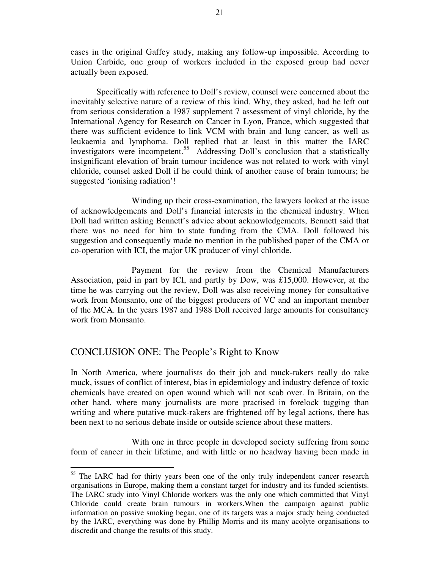cases in the original Gaffey study, making any follow-up impossible. According to Union Carbide, one group of workers included in the exposed group had never actually been exposed.

Specifically with reference to Doll's review, counsel were concerned about the inevitably selective nature of a review of this kind. Why, they asked, had he left out from serious consideration a 1987 supplement 7 assessment of vinyl chloride, by the International Agency for Research on Cancer in Lyon, France, which suggested that there was sufficient evidence to link VCM with brain and lung cancer, as well as leukaemia and lymphoma. Doll replied that at least in this matter the IARC investigators were incompetent. <sup>55</sup> Addressing Doll's conclusion that a statistically insignificant elevation of brain tumour incidence was not related to work with vinyl chloride, counsel asked Doll if he could think of another cause of brain tumours; he suggested 'ionising radiation'!

Winding up their cross-examination, the lawyers looked at the issue of acknowledgements and Doll's financial interests in the chemical industry. When Doll had written asking Bennett's advice about acknowledgements, Bennett said that there was no need for him to state funding from the CMA. Doll followed his suggestion and consequently made no mention in the published paper of the CMA or co-operation with ICI, the major UK producer of vinyl chloride.

Payment for the review from the Chemical Manufacturers Association, paid in part by ICI, and partly by Dow, was £15,000. However, at the time he was carrying out the review, Doll was also receiving money for consultative work from Monsanto, one of the biggest producers of VC and an important member of the MCA. In the years 1987 and 1988 Doll received large amounts for consultancy work from Monsanto.

# CONCLUSION ONE: The People's Right to Know

In North America, where journalists do their job and muck-rakers really do rake muck, issues of conflict of interest, bias in epidemiology and industry defence of toxic chemicals have created on open wound which will not scab over. In Britain, on the other hand, where many journalists are more practised in forelock tugging than writing and where putative muck-rakers are frightened off by legal actions, there has been next to no serious debate inside or outside science about these matters.

With one in three people in developed society suffering from some form of cancer in their lifetime, and with little or no headway having been made in

<sup>&</sup>lt;sup>55</sup> The IARC had for thirty years been one of the only truly independent cancer research organisations in Europe, making them a constant target for industry and its funded scientists. The IARC study into Vinyl Chloride workers was the only one which committed that Vinyl Chloride could create brain tumours in workers.When the campaign against public information on passive smoking began, one of its targets was a major study being conducted by the IARC, everything was done by Phillip Morris and its many acolyte organisations to discredit and change the results of this study.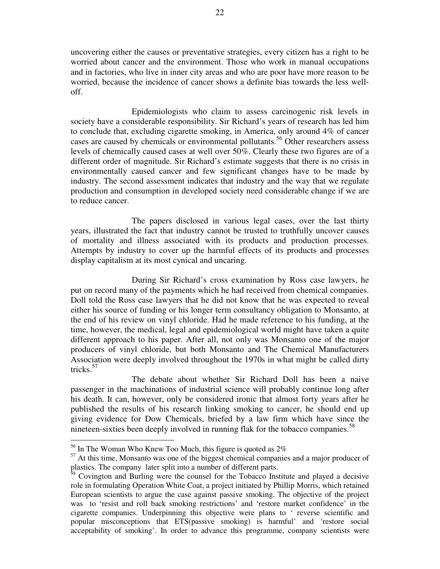uncovering either the causes or preventative strategies, every citizen has a right to be worried about cancer and the environment. Those who work in manual occupations and in factories, who live in inner city areas and who are poor have more reason to be worried, because the incidence of cancer shows a definite bias towards the less welloff.

Epidemiologists who claim to assess carcinogenic risk levels in society have a considerable responsibility. Sir Richard's years of research has led him to conclude that, excluding cigarette smoking, in America, only around 4% of cancer cases are caused by chemicals or environmental pollutants. <sup>56</sup> Other researchers assess levels of chemically caused cases at well over 50%. Clearly these two figures are of a different order of magnitude. Sir Richard's estimate suggests that there is no crisis in environmentally caused cancer and few significant changes have to be made by industry. The second assessment indicates that industry and the way that we regulate production and consumption in developed society need considerable change if we are to reduce cancer.

The papers disclosed in various legal cases, over the last thirty years, illustrated the fact that industry cannot be trusted to truthfully uncover causes of mortality and illness associated with its products and production processes. Attempts by industry to cover up the harmful effects of its products and processes display capitalism at its most cynical and uncaring.

During Sir Richard's cross examination by Ross case lawyers, he put on record many of the payments which he had received from chemical companies. Doll told the Ross case lawyers that he did not know that he was expected to reveal either his source of funding or his longer term consultancy obligation to Monsanto, at the end of his review on vinyl chloride. Had he made reference to his funding, at the time, however, the medical, legal and epidemiological world might have taken a quite different approach to his paper. After all, not only was Monsanto one of the major producers of vinyl chloride, but both Monsanto and The Chemical Manufacturers Association were deeply involved throughout the 1970s in what might be called dirty tricks. 57

The debate about whether Sir Richard Doll has been a naive passenger in the machinations of industrial science will probably continue long after his death. It can, however, only be considered ironic that almost forty years after he published the results of his research linking smoking to cancer, he should end up giving evidence for Dow Chemicals, briefed by a law firm which have since the nineteen-sixties been deeply involved in running flak for the tobacco companies.<sup>58</sup>

 $56$  In The Woman Who Knew Too Much, this figure is quoted as  $2\%$ 

<sup>&</sup>lt;sup>57</sup> At this time, Monsanto was one of the biggest chemical companies and a major producer of plastics. The company later split into a number of different parts.<br><sup>58</sup> Covington and Burling were the set of the set of different parts.

<sup>58</sup> Covington and Burling were the counsel for the Tobacco Institute and played a decisive role in formulating Operation White Coat, a project initiated by Phillip Morris, which retained European scientists to argue the case against passive smoking. The objective of the project was to 'resist and roll back smoking restrictions' and 'restore market confidence' in the cigarette companies. Underpinning this objective were plans to ' reverse scientific and popular misconceptions that ETS(passive smoking) is harmful' and 'restore social acceptability of smoking'. In order to advance this programme, company scientists were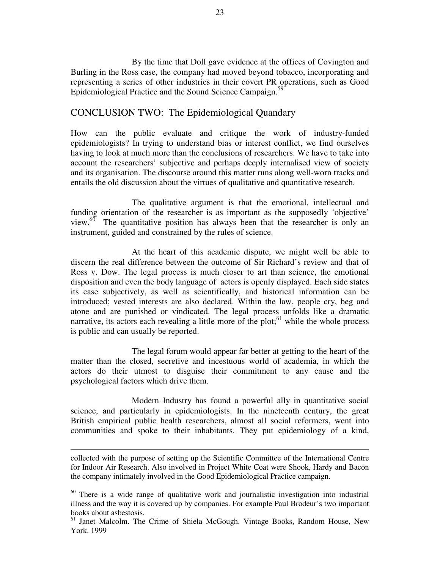By the time that Doll gave evidence at the offices of Covington and Burling in the Ross case, the company had moved beyond tobacco, incorporating and representing a series of other industries in their covert PR operations, such as Good Epidemiological Practice and the Sound Science Campaign.<sup>59</sup>

## CONCLUSION TWO: The Epidemiological Quandary

How can the public evaluate and critique the work of industry-funded epidemiologists? In trying to understand bias or interest conflict, we find ourselves having to look at much more than the conclusions of researchers. We have to take into account the researchers' subjective and perhaps deeply internalised view of society and its organisation. The discourse around this matter runs along well-worn tracks and entails the old discussion about the virtues of qualitative and quantitative research.

The qualitative argument is that the emotional, intellectual and funding orientation of the researcher is as important as the supposedly 'objective' view. $60$  The quantitative position has always been that the researcher is only an instrument, guided and constrained by the rules of science.

At the heart of this academic dispute, we might well be able to discern the real difference between the outcome of Sir Richard's review and that of Ross v. Dow. The legal process is much closer to art than science, the emotional disposition and even the body language of actors is openly displayed. Each side states its case subjectively, as well as scientifically, and historical information can be introduced; vested interests are also declared. Within the law, people cry, beg and atone and are punished or vindicated. The legal process unfolds like a dramatic narrative, its actors each revealing a little more of the plot; $61$  while the whole process is public and can usually be reported.

The legal forum would appear far better at getting to the heart of the matter than the closed, secretive and incestuous world of academia, in which the actors do their utmost to disguise their commitment to any cause and the psychological factors which drive them.

Modern Industry has found a powerful ally in quantitative social science, and particularly in epidemiologists. In the nineteenth century, the great British empirical public health researchers, almost all social reformers, went into communities and spoke to their inhabitants. They put epidemiology of a kind,

collected with the purpose of setting up the Scientific Committee of the International Centre for Indoor Air Research. Also involved in Project White Coat were Shook, Hardy and Bacon the company intimately involved in the Good Epidemiological Practice campaign.

<sup>&</sup>lt;sup>60</sup> There is a wide range of qualitative work and journalistic investigation into industrial illness and the way it is covered up by companies. For example Paul Brodeur's two important books about asbestosis.

<sup>&</sup>lt;sup>61</sup> Janet Malcolm. The Crime of Shiela McGough. Vintage Books, Random House, New York. 1999